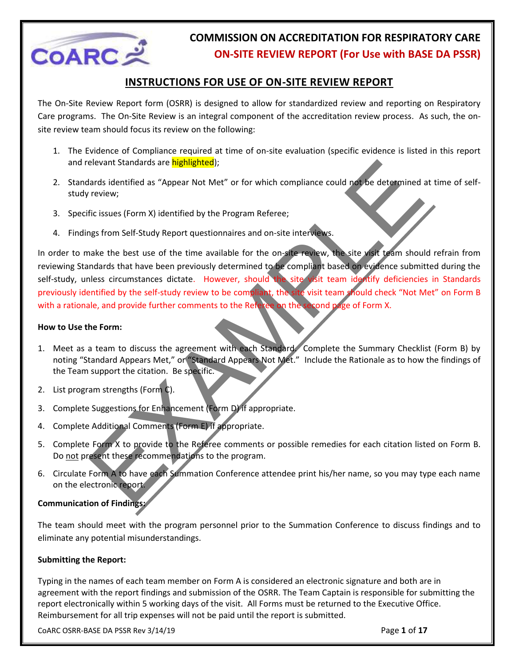

### **INSTRUCTIONS FOR USE OF ON-SITE REVIEW REPORT**

The On-Site Review Report form (OSRR) is designed to allow for standardized review and reporting on Respiratory Care programs. The On-Site Review is an integral component of the accreditation review process. As such, the onsite review team should focus its review on the following:

- 1. The Evidence of Compliance required at time of on-site evaluation (specific evidence is listed in this report and relevant Standards are **highlighted**);
- 2. Standards identified as "Appear Not Met" or for which compliance could not be determined at time of selfstudy review;
- 3. Specific issues (Form X) identified by the Program Referee;
- 4. Findings from Self-Study Report questionnaires and on-site interviews.

elevant Standards are **highlighted**):<br>Tards identified as "Appear Not Met" or for which compliance could not be determined in<br>Teview;<br>The issues (Form X) identified by the Program Referee;<br>The issues (Form X) identified by In order to make the best use of the time available for the on-site review, the site visit team should refrain from reviewing Standards that have been previously determined to be compliant based on evidence submitted during the self-study, unless circumstances dictate. However, should the site visit team identify deficiencies in Standards previously identified by the self-study review to be compliant, the site visit team should check "Not Met" on Form B with a rationale, and provide further comments to the Referee on the second page of Form X.

### **How to Use the Form:**

- 1. Meet as a team to discuss the agreement with each Standard. Complete the Summary Checklist (Form B) by noting "Standard Appears Met," or "Standard Appears Not Met." Include the Rationale as to how the findings of the Team support the citation. Be specific.
- 2. List program strengths (Form C).
- 3. Complete Suggestions for Enhancement (Form D) if appropriate.
- 4. Complete Additional Comments (Form E) if appropriate.
- 5. Complete Form X to provide to the Referee comments or possible remedies for each citation listed on Form B. Do not present these recommendations to the program.
- 6. Circulate Form A to have each Summation Conference attendee print his/her name, so you may type each name on the electronic report.

### **Communication of Findings:**

The team should meet with the program personnel prior to the Summation Conference to discuss findings and to eliminate any potential misunderstandings.

### **Submitting the Report:**

Typing in the names of each team member on Form A is considered an electronic signature and both are in agreement with the report findings and submission of the OSRR. The Team Captain is responsible for submitting the report electronically within 5 working days of the visit. All Forms must be returned to the Executive Office. Reimbursement for all trip expenses will not be paid until the report is submitted.

CoARC OSRR-BASE DA PSSR Rev 3/14/19 Page **1** of **17**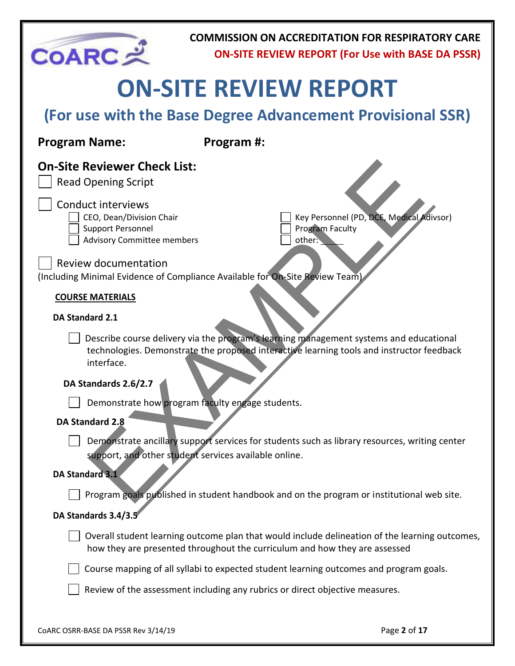| <b>COARC</b>                                                                                                                                                                                                               | <b>COMMISSION ON ACCREDITATION FOR RESPIRATORY CARE</b><br><b>ON-SITE REVIEW REPORT (For Use with BASE DA PSSR)</b>                                                                 |
|----------------------------------------------------------------------------------------------------------------------------------------------------------------------------------------------------------------------------|-------------------------------------------------------------------------------------------------------------------------------------------------------------------------------------|
|                                                                                                                                                                                                                            | <b>ON-SITE REVIEW REPORT</b>                                                                                                                                                        |
|                                                                                                                                                                                                                            | (For use with the Base Degree Advancement Provisional SSR)                                                                                                                          |
| <b>Program Name:</b>                                                                                                                                                                                                       | Program #:                                                                                                                                                                          |
| <b>On-Site Reviewer Check List:</b><br><b>Read Opening Script</b><br><b>Conduct interviews</b><br>CEO, Dean/Division Chair<br><b>Support Personnel</b><br><b>Advisory Committee members</b><br><b>Review documentation</b> | Key Personnel (PD, DCE, Medical Adivsor)<br><b>Program Faculty</b><br>other:                                                                                                        |
|                                                                                                                                                                                                                            | (Including Minimal Evidence of Compliance Available for On-Site Review Team)                                                                                                        |
| <b>COURSE MATERIALS</b><br><b>DA Standard 2.1</b><br>interface.<br>DA Standards 2.6/2.7                                                                                                                                    | Describe course delivery via the program's learning management systems and educational<br>technologies. Demonstrate the proposed interactive learning tools and instructor feedback |
| DA Standard 2.8                                                                                                                                                                                                            | Demonstrate how program faculty engage students.                                                                                                                                    |
| DA Standard 3.1                                                                                                                                                                                                            | Demonstrate ancillary support services for students such as library resources, writing center<br>support, and other student services available online.                              |
|                                                                                                                                                                                                                            | Program goals published in student handbook and on the program or institutional web site.                                                                                           |
| DA Standards 3.4/3.5                                                                                                                                                                                                       |                                                                                                                                                                                     |
|                                                                                                                                                                                                                            | Overall student learning outcome plan that would include delineation of the learning outcomes,<br>how they are presented throughout the curriculum and how they are assessed        |
|                                                                                                                                                                                                                            | Course mapping of all syllabi to expected student learning outcomes and program goals.                                                                                              |
|                                                                                                                                                                                                                            | Review of the assessment including any rubrics or direct objective measures.                                                                                                        |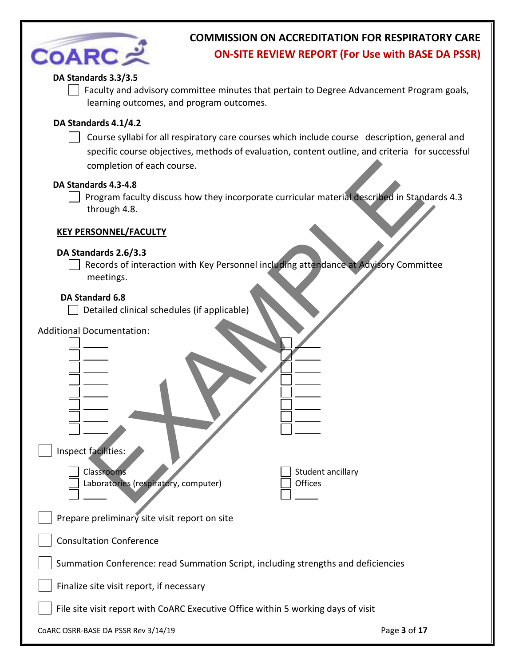| <b>COARCメ</b>                                                                                                                                                                                                        | <b>COMMISSION ON ACCREDITATION FOR RESPIRATORY CARE</b><br><b>ON-SITE REVIEW REPORT (For Use with BASE DA PSSR)</b>                                                                              |
|----------------------------------------------------------------------------------------------------------------------------------------------------------------------------------------------------------------------|--------------------------------------------------------------------------------------------------------------------------------------------------------------------------------------------------|
| DA Standards 3.3/3.5<br>learning outcomes, and program outcomes.                                                                                                                                                     | Faculty and advisory committee minutes that pertain to Degree Advancement Program goals,                                                                                                         |
| DA Standards 4.1/4.2<br>completion of each course.                                                                                                                                                                   | Course syllabi for all respiratory care courses which include course description, general and<br>specific course objectives, methods of evaluation, content outline, and criteria for successful |
| DA Standards 4.3-4.8<br>through 4.8.                                                                                                                                                                                 | Program faculty discuss how they incorporate curricular material described in Standards 4.3                                                                                                      |
| <b>KEY PERSONNEL/FACULTY</b>                                                                                                                                                                                         |                                                                                                                                                                                                  |
| DA Standards 2.6/3.3<br>meetings.<br>DA Standard 6.8<br>Detailed clinical schedules (if applicable)<br><b>Additional Documentation:</b><br>Inspect facilities:<br>Classrooms<br>Laboratories (respiratory, computer) | Records of interaction with Key Personnel including attendance at Advisory Committee<br>Student ancillary<br>Offices                                                                             |
| Prepare preliminary site visit report on site                                                                                                                                                                        |                                                                                                                                                                                                  |
| <b>Consultation Conference</b>                                                                                                                                                                                       |                                                                                                                                                                                                  |
|                                                                                                                                                                                                                      | Summation Conference: read Summation Script, including strengths and deficiencies                                                                                                                |
| Finalize site visit report, if necessary                                                                                                                                                                             |                                                                                                                                                                                                  |
| File site visit report with CoARC Executive Office within 5 working days of visit                                                                                                                                    |                                                                                                                                                                                                  |
| CoARC OSRR-BASE DA PSSR Rev 3/14/19                                                                                                                                                                                  | Page 3 of 17                                                                                                                                                                                     |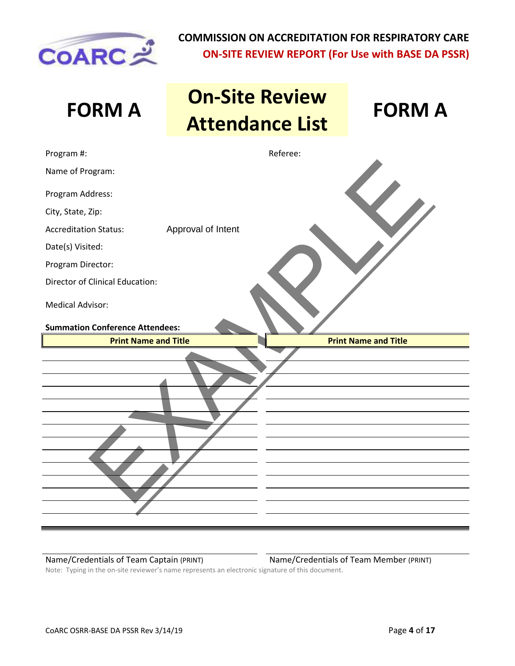

| <b>FORM A</b>                                                     |                    | <b>On-Site Review</b><br><b>Attendance List</b> | <b>FORM A</b>               |
|-------------------------------------------------------------------|--------------------|-------------------------------------------------|-----------------------------|
| Program #:                                                        |                    | Referee:                                        |                             |
| Name of Program:                                                  |                    |                                                 |                             |
| Program Address:                                                  |                    |                                                 |                             |
| City, State, Zip:                                                 |                    |                                                 |                             |
| <b>Accreditation Status:</b>                                      | Approval of Intent |                                                 |                             |
| Date(s) Visited:                                                  |                    |                                                 |                             |
| Program Director:                                                 |                    |                                                 |                             |
| <b>Director of Clinical Education:</b>                            |                    |                                                 |                             |
| <b>Medical Advisor:</b><br><b>Summation Conference Attendees:</b> |                    |                                                 |                             |
| <b>Print Name and Title</b>                                       |                    |                                                 | <b>Print Name and Title</b> |
|                                                                   |                    |                                                 |                             |

Name/Credentials of Team Captain (PRINT) Name/Credentials of Team Member (PRINT)

Note: Typing in the on-site reviewer's name represents an electronic signature of this document.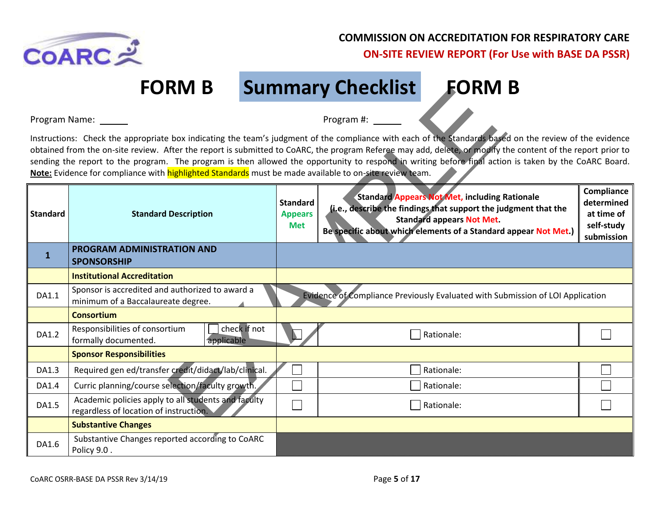

**FORM B Summary Checklist FORM B**

|                 | FURIVI D                                                                                                |                                                 | <b>Summary Unecklist</b><br>EURIVI D                                                                                                                                                                                                                                                                                                                                                                                                                                            |                                                                    |
|-----------------|---------------------------------------------------------------------------------------------------------|-------------------------------------------------|---------------------------------------------------------------------------------------------------------------------------------------------------------------------------------------------------------------------------------------------------------------------------------------------------------------------------------------------------------------------------------------------------------------------------------------------------------------------------------|--------------------------------------------------------------------|
| Program Name:   |                                                                                                         |                                                 | Program #:                                                                                                                                                                                                                                                                                                                                                                                                                                                                      |                                                                    |
|                 | Note: Evidence for compliance with highlighted Standards must be made available to on-site review team. |                                                 | Instructions: Check the appropriate box indicating the team's judgment of the compliance with each of the Standards based on the review of the evidence<br>obtained from the on-site review. After the report is submitted to CoARC, the program Referee may add, delete, or modify the content of the report prior to<br>sending the report to the program. The program is then allowed the opportunity to respond in writing before final action is taken by the CoARC Board. |                                                                    |
| <b>Standard</b> | <b>Standard Description</b>                                                                             | <b>Standard</b><br><b>Appears</b><br><b>Met</b> | <b>Standard Appears Not Met, including Rationale</b><br>(i.e., describe the findings that support the judgment that the<br><b>Standard appears Not Met.</b><br>Be specific about which elements of a Standard appear Not Met.)                                                                                                                                                                                                                                                  | Compliance<br>determined<br>at time of<br>self-study<br>submission |
| $\mathbf{1}$    | PROGRAM ADMINISTRATION AND<br><b>SPONSORSHIP</b>                                                        |                                                 |                                                                                                                                                                                                                                                                                                                                                                                                                                                                                 |                                                                    |
|                 | <b>Institutional Accreditation</b>                                                                      |                                                 |                                                                                                                                                                                                                                                                                                                                                                                                                                                                                 |                                                                    |
| DA1.1           | Sponsor is accredited and authorized to award a<br>minimum of a Baccalaureate degree.                   |                                                 | Evidence of Compliance Previously Evaluated with Submission of LOI Application                                                                                                                                                                                                                                                                                                                                                                                                  |                                                                    |
|                 | <b>Consortium</b>                                                                                       |                                                 |                                                                                                                                                                                                                                                                                                                                                                                                                                                                                 |                                                                    |
| DA1.2           | check if not<br>Responsibilities of consortium<br>formally documented.<br>applicable                    |                                                 | Rationale:                                                                                                                                                                                                                                                                                                                                                                                                                                                                      |                                                                    |
|                 | <b>Sponsor Responsibilities</b>                                                                         |                                                 |                                                                                                                                                                                                                                                                                                                                                                                                                                                                                 |                                                                    |
| DA1.3           | Required gen ed/transfer credit/didact/lab/clinical.                                                    |                                                 | Rationale:                                                                                                                                                                                                                                                                                                                                                                                                                                                                      |                                                                    |
| DA1.4           | Curric planning/course selection/faculty growth.                                                        |                                                 | Rationale:                                                                                                                                                                                                                                                                                                                                                                                                                                                                      |                                                                    |
| DA1.5           | Academic policies apply to all students and faculty<br>regardless of location of instruction.           |                                                 | Rationale:                                                                                                                                                                                                                                                                                                                                                                                                                                                                      |                                                                    |
|                 | <b>Substantive Changes</b>                                                                              |                                                 |                                                                                                                                                                                                                                                                                                                                                                                                                                                                                 |                                                                    |
| DA1.6           | Substantive Changes reported according to CoARC<br>Policy 9.0.                                          |                                                 |                                                                                                                                                                                                                                                                                                                                                                                                                                                                                 |                                                                    |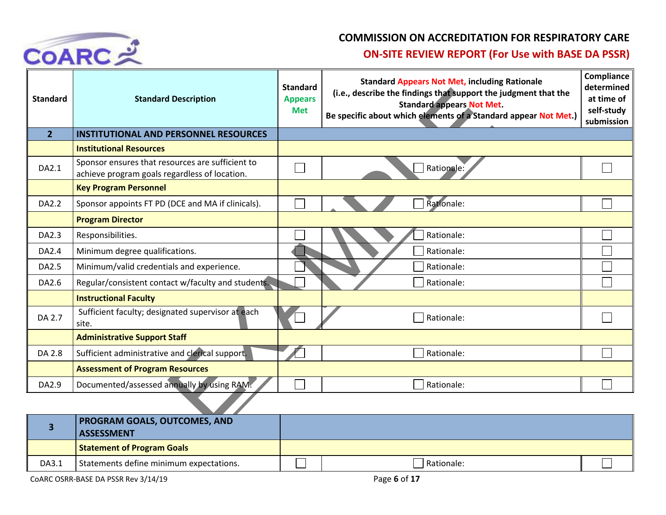

### **COMMISSION ON ACCREDITATION FOR RESPIRATORY CARE**

### **ON-SITE REVIEW REPORT (For Use with BASE DA PSSR)**

| <b>Standard</b> | <b>Standard Description</b>                                                                       | <b>Standard</b><br><b>Appears</b><br><b>Met</b> | <b>Standard Appears Not Met, including Rationale</b><br>(i.e., describe the findings that support the judgment that the<br><b>Standard appears Not Met.</b><br>Be specific about which elements of a Standard appear Not Met.) | Compliance<br>determined<br>at time of<br>self-study<br>submission |
|-----------------|---------------------------------------------------------------------------------------------------|-------------------------------------------------|--------------------------------------------------------------------------------------------------------------------------------------------------------------------------------------------------------------------------------|--------------------------------------------------------------------|
| $\overline{2}$  | <b>INSTITUTIONAL AND PERSONNEL RESOURCES</b>                                                      |                                                 |                                                                                                                                                                                                                                |                                                                    |
|                 | <b>Institutional Resources</b>                                                                    |                                                 |                                                                                                                                                                                                                                |                                                                    |
| DA2.1           | Sponsor ensures that resources are sufficient to<br>achieve program goals regardless of location. |                                                 | Rationale:                                                                                                                                                                                                                     |                                                                    |
|                 | <b>Key Program Personnel</b>                                                                      |                                                 |                                                                                                                                                                                                                                |                                                                    |
| DA2.2           | Sponsor appoints FT PD (DCE and MA if clinicals).                                                 |                                                 | Rationale:                                                                                                                                                                                                                     |                                                                    |
|                 | <b>Program Director</b>                                                                           |                                                 |                                                                                                                                                                                                                                |                                                                    |
| DA2.3           | Responsibilities.                                                                                 |                                                 | Rationale:                                                                                                                                                                                                                     |                                                                    |
| DA2.4           | Minimum degree qualifications.                                                                    |                                                 | Rationale:                                                                                                                                                                                                                     |                                                                    |
| DA2.5           | Minimum/valid credentials and experience.                                                         |                                                 | Rationale:                                                                                                                                                                                                                     |                                                                    |
| DA2.6           | Regular/consistent contact w/faculty and students.                                                |                                                 | Rationale:                                                                                                                                                                                                                     |                                                                    |
|                 | <b>Instructional Faculty</b>                                                                      |                                                 |                                                                                                                                                                                                                                |                                                                    |
| DA 2.7          | Sufficient faculty; designated supervisor at each<br>site.                                        |                                                 | Rationale:                                                                                                                                                                                                                     |                                                                    |
|                 | <b>Administrative Support Staff</b>                                                               |                                                 |                                                                                                                                                                                                                                |                                                                    |
| DA 2.8          | Sufficient administrative and clerical support.                                                   |                                                 | Rationale:                                                                                                                                                                                                                     |                                                                    |
|                 | <b>Assessment of Program Resources</b>                                                            |                                                 |                                                                                                                                                                                                                                |                                                                    |
| DA2.9           | Documented/assessed annually by using RAM.                                                        |                                                 | Rationale:                                                                                                                                                                                                                     |                                                                    |
|                 |                                                                                                   |                                                 |                                                                                                                                                                                                                                |                                                                    |
|                 | <b>PROGRAM GOALS, OUTCOMES, AND</b>                                                               |                                                 |                                                                                                                                                                                                                                |                                                                    |

|       | <b>PROGRAM GOALS, OUTCOMES, AND</b><br><b>ASSESSMENT</b> |              |  |
|-------|----------------------------------------------------------|--------------|--|
|       | <b>Statement of Program Goals</b>                        |              |  |
| DA3.1 | Statements define minimum expectations.                  | l Rationale: |  |

COARC OSRR-BASE DA PSSR Rev 3/14/19 Page 6 of 17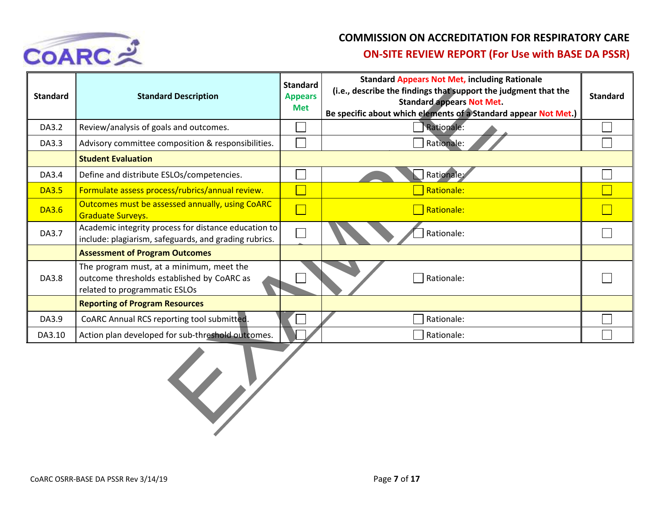

### **COMMISSION ON ACCREDITATION FOR RESPIRATORY CARE**

### **ON-SITE REVIEW REPORT (For Use with BASE DA PSSR)**

| <b>Standard</b> | <b>Standard Description</b>                                                                                             | <b>Standard</b><br><b>Appears</b><br><b>Met</b> | <b>Standard Appears Not Met, including Rationale</b><br>(i.e., describe the findings that support the judgment that the<br><b>Standard appears Not Met.</b><br>Be specific about which elements of a Standard appear Not Met.) | <b>Standard</b> |
|-----------------|-------------------------------------------------------------------------------------------------------------------------|-------------------------------------------------|--------------------------------------------------------------------------------------------------------------------------------------------------------------------------------------------------------------------------------|-----------------|
| DA3.2           | Review/analysis of goals and outcomes.                                                                                  |                                                 | Rationale:                                                                                                                                                                                                                     |                 |
| DA3.3           | Advisory committee composition & responsibilities.                                                                      |                                                 | Rationale:                                                                                                                                                                                                                     |                 |
|                 | <b>Student Evaluation</b>                                                                                               |                                                 |                                                                                                                                                                                                                                |                 |
| DA3.4           | Define and distribute ESLOs/competencies.                                                                               |                                                 | Rationale:                                                                                                                                                                                                                     |                 |
| <b>DA3.5</b>    | Formulate assess process/rubrics/annual review.                                                                         |                                                 | Rationale:                                                                                                                                                                                                                     |                 |
| <b>DA3.6</b>    | Outcomes must be assessed annually, using CoARC<br><b>Graduate Surveys.</b>                                             | $\Box$                                          | Rationale:                                                                                                                                                                                                                     |                 |
| DA3.7           | Academic integrity process for distance education to<br>include: plagiarism, safeguards, and grading rubrics.           |                                                 | Rationale:                                                                                                                                                                                                                     |                 |
|                 | <b>Assessment of Program Outcomes</b>                                                                                   |                                                 |                                                                                                                                                                                                                                |                 |
| DA3.8           | The program must, at a minimum, meet the<br>outcome thresholds established by CoARC as<br>related to programmatic ESLOs |                                                 | Rationale:                                                                                                                                                                                                                     |                 |
|                 | <b>Reporting of Program Resources</b>                                                                                   |                                                 |                                                                                                                                                                                                                                |                 |
| DA3.9           | CoARC Annual RCS reporting tool submitted.                                                                              |                                                 | Rationale:                                                                                                                                                                                                                     |                 |
| DA3.10          | Action plan developed for sub-threshold outcomes.                                                                       |                                                 | Rationale:                                                                                                                                                                                                                     |                 |
|                 |                                                                                                                         |                                                 |                                                                                                                                                                                                                                |                 |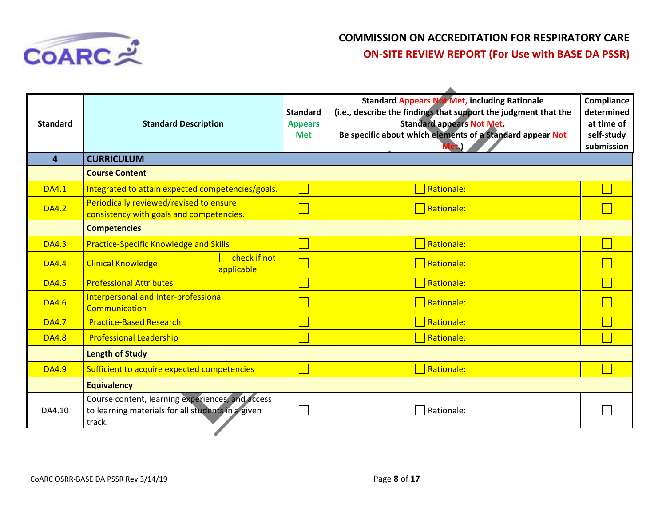

| <b>Standard Appears Not Met, including Rationale</b><br>(i.e., describe the findings that support the judgment that the<br><b>Standard</b><br><b>Standard appears Not Met.</b><br><b>Standard</b><br><b>Standard Description</b><br><b>Appears</b><br>Be specific about which elements of a Standard appear Not<br><b>Met</b><br><b>CURRICULUM</b><br>4<br><b>Course Content</b><br>Rationale:<br>Integrated to attain expected competencies/goals.<br><b>DA4.1</b><br>Periodically reviewed/revised to ensure<br>$\Box$ Rationale:<br><b>DA4.2</b><br>consistency with goals and competencies.<br><b>Competencies</b><br>Rationale:<br><b>Practice-Specific Knowledge and Skills</b><br><b>DA4.3</b><br>$\overline{\phantom{a}}$ check if not<br>$\Box$ Rationale:<br><b>Clinical Knowledge</b><br><b>DA4.4</b><br>applicable<br><b>Professional Attributes</b><br>Rationale:<br><b>DA4.5</b><br>Interpersonal and Inter-professional<br>Rationale:<br><b>DA4.6</b><br>Communication<br>Rationale:<br><b>Practice-Based Research</b><br><b>DA4.7</b><br>Rationale:<br><b>Professional Leadership</b><br><b>DA4.8</b><br><b>Length of Study</b><br><b>Rationale:</b><br>Sufficient to acquire expected competencies<br><b>DA4.9</b><br><b>Equivalency</b><br>Course content, learning experiences, and access<br>to learning materials for all students in a given<br>DA4.10<br>Rationale:<br>track. |  |  |                                                                    |
|------------------------------------------------------------------------------------------------------------------------------------------------------------------------------------------------------------------------------------------------------------------------------------------------------------------------------------------------------------------------------------------------------------------------------------------------------------------------------------------------------------------------------------------------------------------------------------------------------------------------------------------------------------------------------------------------------------------------------------------------------------------------------------------------------------------------------------------------------------------------------------------------------------------------------------------------------------------------------------------------------------------------------------------------------------------------------------------------------------------------------------------------------------------------------------------------------------------------------------------------------------------------------------------------------------------------------------------------------------------------------------------------------|--|--|--------------------------------------------------------------------|
|                                                                                                                                                                                                                                                                                                                                                                                                                                                                                                                                                                                                                                                                                                                                                                                                                                                                                                                                                                                                                                                                                                                                                                                                                                                                                                                                                                                                      |  |  | Compliance<br>determined<br>at time of<br>self-study<br>submission |
|                                                                                                                                                                                                                                                                                                                                                                                                                                                                                                                                                                                                                                                                                                                                                                                                                                                                                                                                                                                                                                                                                                                                                                                                                                                                                                                                                                                                      |  |  |                                                                    |
|                                                                                                                                                                                                                                                                                                                                                                                                                                                                                                                                                                                                                                                                                                                                                                                                                                                                                                                                                                                                                                                                                                                                                                                                                                                                                                                                                                                                      |  |  |                                                                    |
|                                                                                                                                                                                                                                                                                                                                                                                                                                                                                                                                                                                                                                                                                                                                                                                                                                                                                                                                                                                                                                                                                                                                                                                                                                                                                                                                                                                                      |  |  |                                                                    |
|                                                                                                                                                                                                                                                                                                                                                                                                                                                                                                                                                                                                                                                                                                                                                                                                                                                                                                                                                                                                                                                                                                                                                                                                                                                                                                                                                                                                      |  |  |                                                                    |
|                                                                                                                                                                                                                                                                                                                                                                                                                                                                                                                                                                                                                                                                                                                                                                                                                                                                                                                                                                                                                                                                                                                                                                                                                                                                                                                                                                                                      |  |  |                                                                    |
|                                                                                                                                                                                                                                                                                                                                                                                                                                                                                                                                                                                                                                                                                                                                                                                                                                                                                                                                                                                                                                                                                                                                                                                                                                                                                                                                                                                                      |  |  |                                                                    |
|                                                                                                                                                                                                                                                                                                                                                                                                                                                                                                                                                                                                                                                                                                                                                                                                                                                                                                                                                                                                                                                                                                                                                                                                                                                                                                                                                                                                      |  |  |                                                                    |
|                                                                                                                                                                                                                                                                                                                                                                                                                                                                                                                                                                                                                                                                                                                                                                                                                                                                                                                                                                                                                                                                                                                                                                                                                                                                                                                                                                                                      |  |  |                                                                    |
|                                                                                                                                                                                                                                                                                                                                                                                                                                                                                                                                                                                                                                                                                                                                                                                                                                                                                                                                                                                                                                                                                                                                                                                                                                                                                                                                                                                                      |  |  |                                                                    |
|                                                                                                                                                                                                                                                                                                                                                                                                                                                                                                                                                                                                                                                                                                                                                                                                                                                                                                                                                                                                                                                                                                                                                                                                                                                                                                                                                                                                      |  |  |                                                                    |
|                                                                                                                                                                                                                                                                                                                                                                                                                                                                                                                                                                                                                                                                                                                                                                                                                                                                                                                                                                                                                                                                                                                                                                                                                                                                                                                                                                                                      |  |  |                                                                    |
|                                                                                                                                                                                                                                                                                                                                                                                                                                                                                                                                                                                                                                                                                                                                                                                                                                                                                                                                                                                                                                                                                                                                                                                                                                                                                                                                                                                                      |  |  |                                                                    |
|                                                                                                                                                                                                                                                                                                                                                                                                                                                                                                                                                                                                                                                                                                                                                                                                                                                                                                                                                                                                                                                                                                                                                                                                                                                                                                                                                                                                      |  |  |                                                                    |
|                                                                                                                                                                                                                                                                                                                                                                                                                                                                                                                                                                                                                                                                                                                                                                                                                                                                                                                                                                                                                                                                                                                                                                                                                                                                                                                                                                                                      |  |  |                                                                    |
|                                                                                                                                                                                                                                                                                                                                                                                                                                                                                                                                                                                                                                                                                                                                                                                                                                                                                                                                                                                                                                                                                                                                                                                                                                                                                                                                                                                                      |  |  |                                                                    |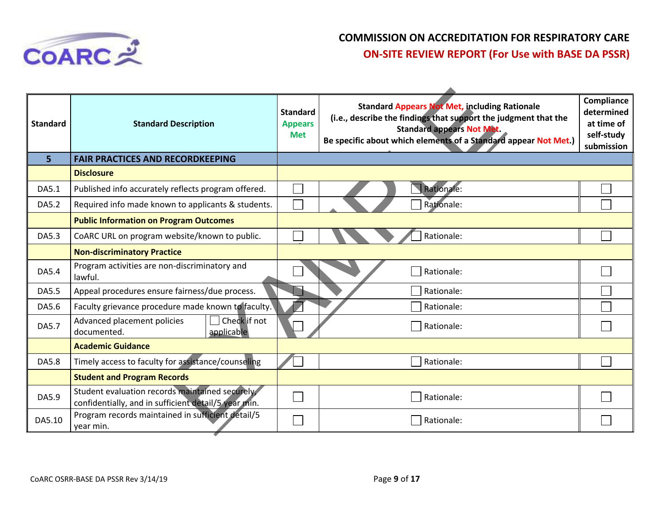

| <b>Standard</b> | <b>Standard Description</b>                                                                            | <b>Standard</b><br><b>Appears</b><br><b>Met</b> | <b>Standard Appears Not Met, including Rationale</b><br>(i.e., describe the findings that support the judgment that the<br><b>Standard appears Not Met.</b><br>Be specific about which elements of a Standard appear Not Met.) | Compliance<br>determined<br>at time of<br>self-study<br>submission |
|-----------------|--------------------------------------------------------------------------------------------------------|-------------------------------------------------|--------------------------------------------------------------------------------------------------------------------------------------------------------------------------------------------------------------------------------|--------------------------------------------------------------------|
| 5               | <b>FAIR PRACTICES AND RECORDKEEPING</b>                                                                |                                                 |                                                                                                                                                                                                                                |                                                                    |
|                 | <b>Disclosure</b>                                                                                      |                                                 |                                                                                                                                                                                                                                |                                                                    |
| DA5.1           | Published info accurately reflects program offered.                                                    |                                                 | Rationale:                                                                                                                                                                                                                     |                                                                    |
| DA5.2           | Required info made known to applicants & students.                                                     |                                                 | Rationale:                                                                                                                                                                                                                     |                                                                    |
|                 | <b>Public Information on Program Outcomes</b>                                                          |                                                 |                                                                                                                                                                                                                                |                                                                    |
| DA5.3           | CoARC URL on program website/known to public.                                                          |                                                 | Rationale:                                                                                                                                                                                                                     |                                                                    |
|                 | <b>Non-discriminatory Practice</b>                                                                     |                                                 |                                                                                                                                                                                                                                |                                                                    |
| DA5.4           | Program activities are non-discriminatory and<br>lawful.                                               |                                                 | Rationale:                                                                                                                                                                                                                     |                                                                    |
| <b>DA5.5</b>    | Appeal procedures ensure fairness/due process.                                                         |                                                 | Rationale:                                                                                                                                                                                                                     |                                                                    |
| DA5.6           | Faculty grievance procedure made known to faculty.                                                     |                                                 | Rationale:                                                                                                                                                                                                                     |                                                                    |
| DA5.7           | Check if not<br>Advanced placement policies<br>documented.<br>applicable                               |                                                 | Rationale:                                                                                                                                                                                                                     |                                                                    |
|                 | <b>Academic Guidance</b>                                                                               |                                                 |                                                                                                                                                                                                                                |                                                                    |
| DA5.8           | Timely access to faculty for assistance/counseling                                                     |                                                 | Rationale:                                                                                                                                                                                                                     |                                                                    |
|                 | <b>Student and Program Records</b>                                                                     |                                                 |                                                                                                                                                                                                                                |                                                                    |
| DA5.9           | Student evaluation records maintained securely<br>confidentially, and in sufficient detail/5 year min. |                                                 | Rationale:                                                                                                                                                                                                                     |                                                                    |
| DA5.10          | Program records maintained in sufficient detail/5<br>vear min.                                         |                                                 | Rationale:                                                                                                                                                                                                                     |                                                                    |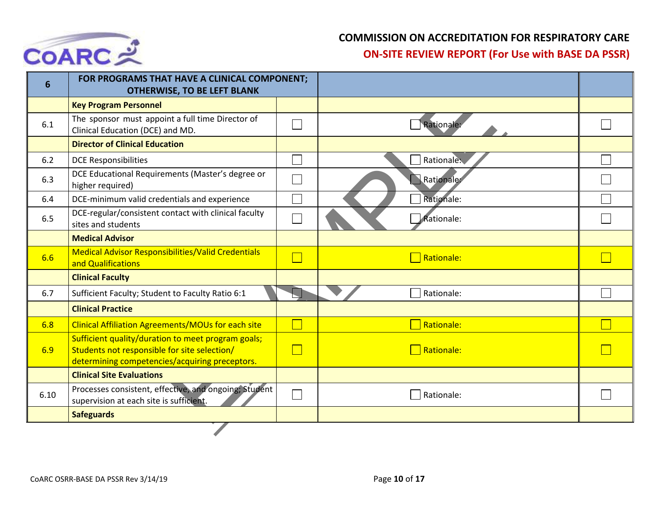

| 6    | FOR PROGRAMS THAT HAVE A CLINICAL COMPONENT;<br><b>OTHERWISE, TO BE LEFT BLANK</b>                                                                   |            |  |
|------|------------------------------------------------------------------------------------------------------------------------------------------------------|------------|--|
|      | <b>Key Program Personnel</b>                                                                                                                         |            |  |
| 6.1  | The sponsor must appoint a full time Director of<br>Clinical Education (DCE) and MD.                                                                 | Rationale: |  |
|      | <b>Director of Clinical Education</b>                                                                                                                |            |  |
| 6.2  | <b>DCE Responsibilities</b>                                                                                                                          | Rationale: |  |
| 6.3  | DCE Educational Requirements (Master's degree or<br>higher required)                                                                                 | Rationale: |  |
| 6.4  | DCE-minimum valid credentials and experience                                                                                                         | Rationale: |  |
| 6.5  | DCE-regular/consistent contact with clinical faculty<br>sites and students                                                                           | Rationale: |  |
|      | <b>Medical Advisor</b>                                                                                                                               |            |  |
| 6.6  | <b>Medical Advisor Responsibilities/Valid Credentials</b><br>and Qualifications                                                                      | Rationale: |  |
|      | <b>Clinical Faculty</b>                                                                                                                              |            |  |
| 6.7  | Sufficient Faculty; Student to Faculty Ratio 6:1                                                                                                     | Rationale: |  |
|      | <b>Clinical Practice</b>                                                                                                                             |            |  |
| 6.8  | <b>Clinical Affiliation Agreements/MOUs for each site</b>                                                                                            | Rationale: |  |
| 6.9  | Sufficient quality/duration to meet program goals;<br>Students not responsible for site selection/<br>determining competencies/acquiring preceptors. | Rationale: |  |
|      | <b>Clinical Site Evaluations</b>                                                                                                                     |            |  |
| 6.10 | Processes consistent, effective, and ongoing; Student<br>supervision at each site is sufficient.                                                     | Rationale: |  |
|      | <b>Safeguards</b>                                                                                                                                    |            |  |
|      |                                                                                                                                                      |            |  |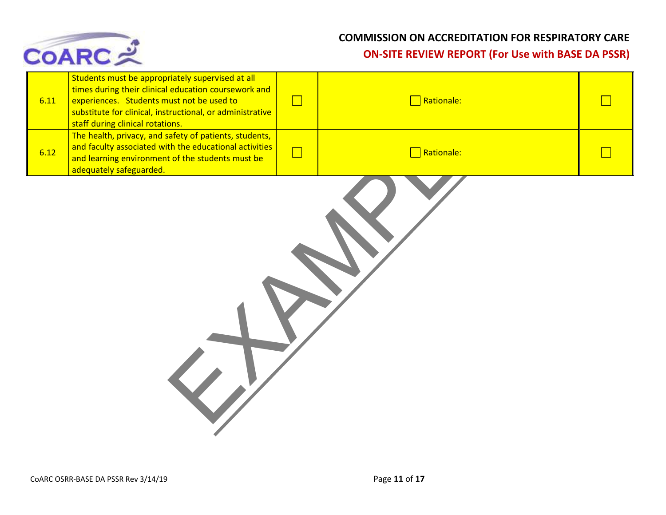

| 6.11 | Students must be appropriately supervised at all<br>times during their clinical education coursework and<br>experiences. Students must not be used to<br>substitute for clinical, instructional, or administrative<br>staff during clinical rotations. | $\Box$ | Rationale: |  |
|------|--------------------------------------------------------------------------------------------------------------------------------------------------------------------------------------------------------------------------------------------------------|--------|------------|--|
| 6.12 | The health, privacy, and safety of patients, students,<br>and faculty associated with the educational activities<br>and learning environment of the students must be<br>adequately safeguarded.                                                        | $\Box$ | Rationale: |  |
|      |                                                                                                                                                                                                                                                        |        |            |  |
|      |                                                                                                                                                                                                                                                        |        |            |  |
|      |                                                                                                                                                                                                                                                        |        |            |  |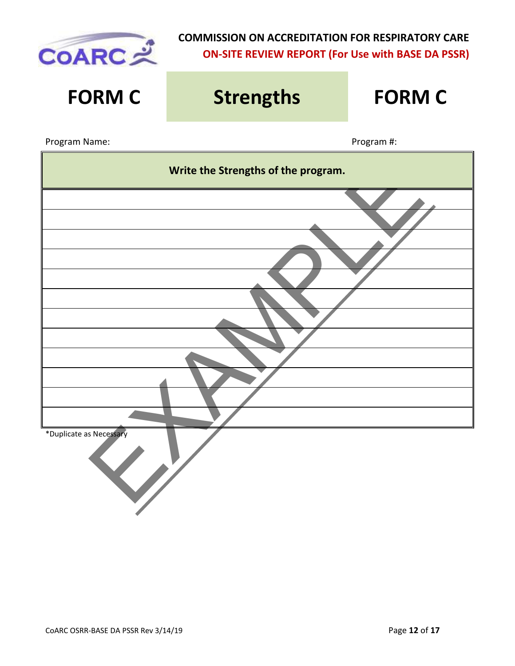

# Write the Strengths of the program.<br>
The contract of the Strengths of the program.<br>
The contract of the program.<br>
The contract of the program. **FORM C Strengths FORM C** Program Name: Name: Program #: Program #: Program #: Program #: Program #: Program #: Program #: Program #: Program #: Program #: Program #: Program #: Program #: Program #: Program #: Program #: Program #: Program #: Prog **Write the Strengths of the program.** \*Duplicate as Necessary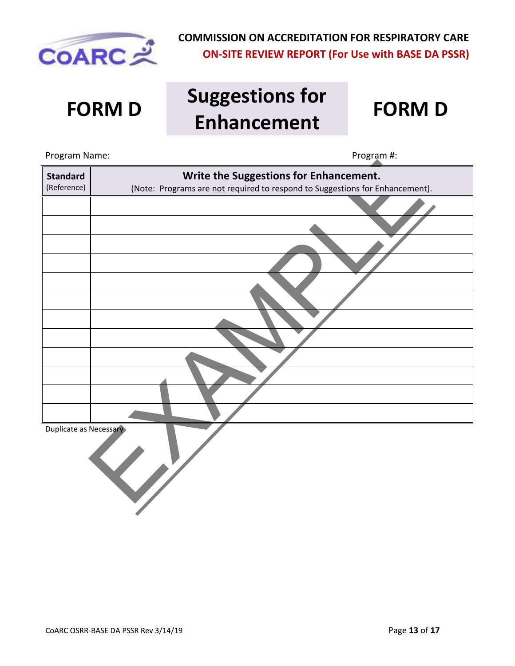

### **FORM D Suggestions for Enhancement FORM D**

| Program Name:          | Program #:                                                                   |
|------------------------|------------------------------------------------------------------------------|
| <b>Standard</b>        | Write the Suggestions for Enhancement.                                       |
| (Reference)            | (Note: Programs are not required to respond to Suggestions for Enhancement). |
|                        |                                                                              |
|                        |                                                                              |
|                        |                                                                              |
|                        |                                                                              |
|                        |                                                                              |
|                        |                                                                              |
|                        |                                                                              |
|                        |                                                                              |
|                        |                                                                              |
|                        |                                                                              |
|                        |                                                                              |
|                        |                                                                              |
| Duplicate as Necessary |                                                                              |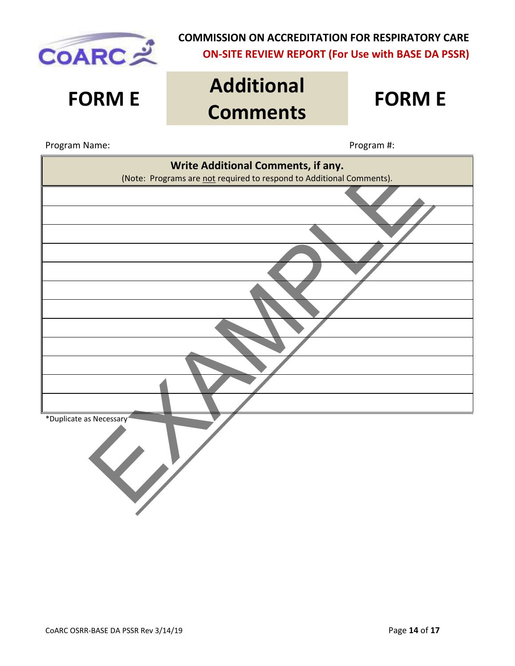

### **FORM E Additional Comments FORM E**



| Write Additional Comments, if any.                                   |
|----------------------------------------------------------------------|
| (Note: Programs are not required to respond to Additional Comments). |
|                                                                      |
|                                                                      |
|                                                                      |
|                                                                      |
|                                                                      |
|                                                                      |
|                                                                      |
|                                                                      |
|                                                                      |
|                                                                      |
|                                                                      |
|                                                                      |
| *Duplicate as Necessary                                              |
|                                                                      |
| $\overline{\mathbf{V}}$                                              |
|                                                                      |
|                                                                      |
|                                                                      |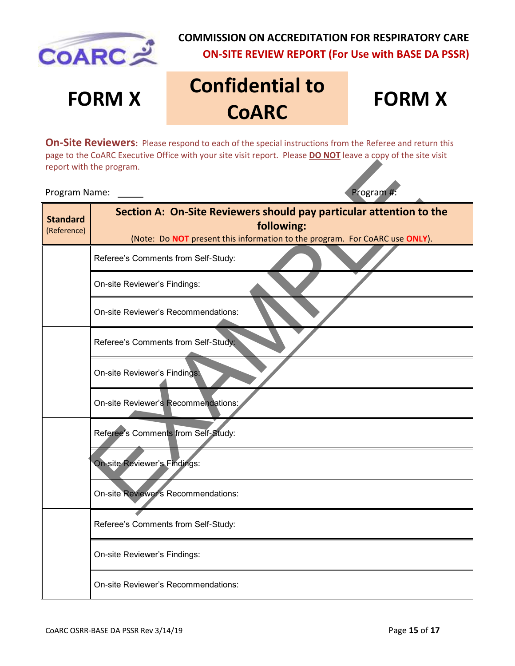

## **FORM X Confidential to COARC**

### **FORM X**

**On-Site Reviewers:** Please respond to each of the special instructions from the Referee and return this page to the CoARC Executive Office with your site visit report. Please **DO NOT** leave a copy of the site visit report with the program.

### Program Name: Program #:

| report with the program.       |                                                                                                                                                                  |  |  |  |  |
|--------------------------------|------------------------------------------------------------------------------------------------------------------------------------------------------------------|--|--|--|--|
| Program #:<br>Program Name:    |                                                                                                                                                                  |  |  |  |  |
| <b>Standard</b><br>(Reference) | Section A: On-Site Reviewers should pay particular attention to the<br>following:<br>(Note: Do NOT present this information to the program. For CoARC use ONLY). |  |  |  |  |
|                                | Referee's Comments from Self-Study:                                                                                                                              |  |  |  |  |
|                                | On-site Reviewer's Findings:                                                                                                                                     |  |  |  |  |
|                                | On-site Reviewer's Recommendations:                                                                                                                              |  |  |  |  |
|                                | Referee's Comments from Self-Study:                                                                                                                              |  |  |  |  |
|                                | On-site Reviewer's Findings:                                                                                                                                     |  |  |  |  |
|                                | On-site Reviewer's Recommendations:                                                                                                                              |  |  |  |  |
|                                | Referee's Comments from Self-Study:                                                                                                                              |  |  |  |  |
|                                | On-site Reviewer's Findings:                                                                                                                                     |  |  |  |  |
|                                | On-site Reviewer's Recommendations:                                                                                                                              |  |  |  |  |
|                                | Referee's Comments from Self-Study:                                                                                                                              |  |  |  |  |
|                                | On-site Reviewer's Findings:                                                                                                                                     |  |  |  |  |
|                                | On-site Reviewer's Recommendations:                                                                                                                              |  |  |  |  |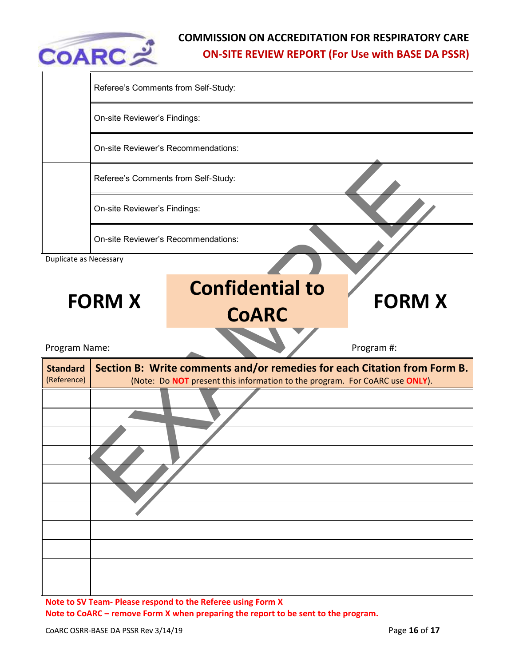

|                                | Referee's Comments from Self-Study:        |                                                                                                                                                         |               |  |  |  |
|--------------------------------|--------------------------------------------|---------------------------------------------------------------------------------------------------------------------------------------------------------|---------------|--|--|--|
|                                | On-site Reviewer's Findings:               |                                                                                                                                                         |               |  |  |  |
|                                | On-site Reviewer's Recommendations:        |                                                                                                                                                         |               |  |  |  |
|                                | Referee's Comments from Self-Study:        |                                                                                                                                                         |               |  |  |  |
|                                | On-site Reviewer's Findings:               |                                                                                                                                                         |               |  |  |  |
|                                | <b>On-site Reviewer's Recommendations:</b> |                                                                                                                                                         |               |  |  |  |
| Duplicate as Necessary         |                                            |                                                                                                                                                         |               |  |  |  |
|                                | <b>FORM X</b>                              | <b>Confidential to</b><br><b>CoARC</b>                                                                                                                  | <b>FORM X</b> |  |  |  |
|                                |                                            |                                                                                                                                                         |               |  |  |  |
| Program Name:                  |                                            |                                                                                                                                                         | Program #:    |  |  |  |
| <b>Standard</b><br>(Reference) |                                            | Section B: Write comments and/or remedies for each Citation from Form B.<br>(Note: Do NOT present this information to the program. For CoARC use ONLY). |               |  |  |  |
|                                |                                            |                                                                                                                                                         |               |  |  |  |
|                                |                                            |                                                                                                                                                         |               |  |  |  |
|                                |                                            |                                                                                                                                                         |               |  |  |  |
|                                |                                            |                                                                                                                                                         |               |  |  |  |

**Note to SV Team- Please respond to the Referee using Form X Note to CoARC – remove Form X when preparing the report to be sent to the program.**